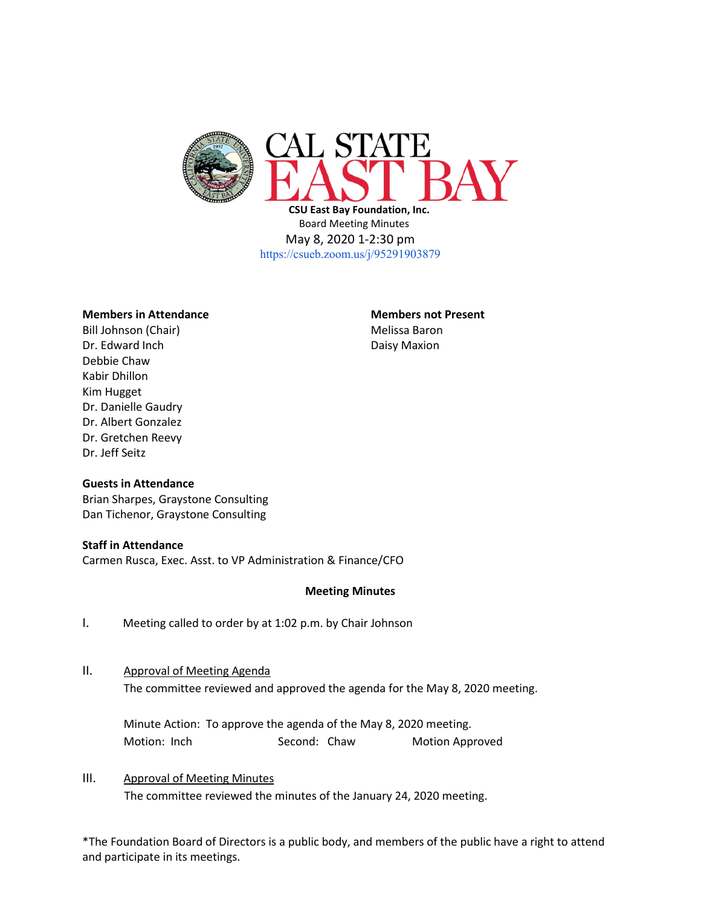

 **CSU East Bay Foundation, Inc.** Board Meeting Minutes May 8, 2020 1-2:30 pm <https://csueb.zoom.us/j/95291903879>

### **Members in Attendance Members not Present**

Bill Johnson (Chair) Melissa Baron Dr. Edward Inch **Daisy Maxion** Debbie Chaw Kabir Dhillon Kim Hugget Dr. Danielle Gaudry Dr. Albert Gonzalez Dr. Gretchen Reevy Dr. Jeff Seitz

### **Guests in Attendance**

Brian Sharpes, Graystone Consulting Dan Tichenor, Graystone Consulting

#### **Staff in Attendance**

Carmen Rusca, Exec. Asst. to VP Administration & Finance/CFO

#### **Meeting Minutes**

I. Meeting called to order by at 1:02 p.m. by Chair Johnson

### II. Approval of Meeting Agenda

The committee reviewed and approved the agenda for the May 8, 2020 meeting.

Minute Action: To approve the agenda of the May 8, 2020 meeting. Motion: Inch Second: Chaw Motion Approved

# III. Approval of Meeting Minutes The committee reviewed the minutes of the January 24, 2020 meeting.

\*The Foundation Board of Directors is a public body, and members of the public have a right to attend and participate in its meetings.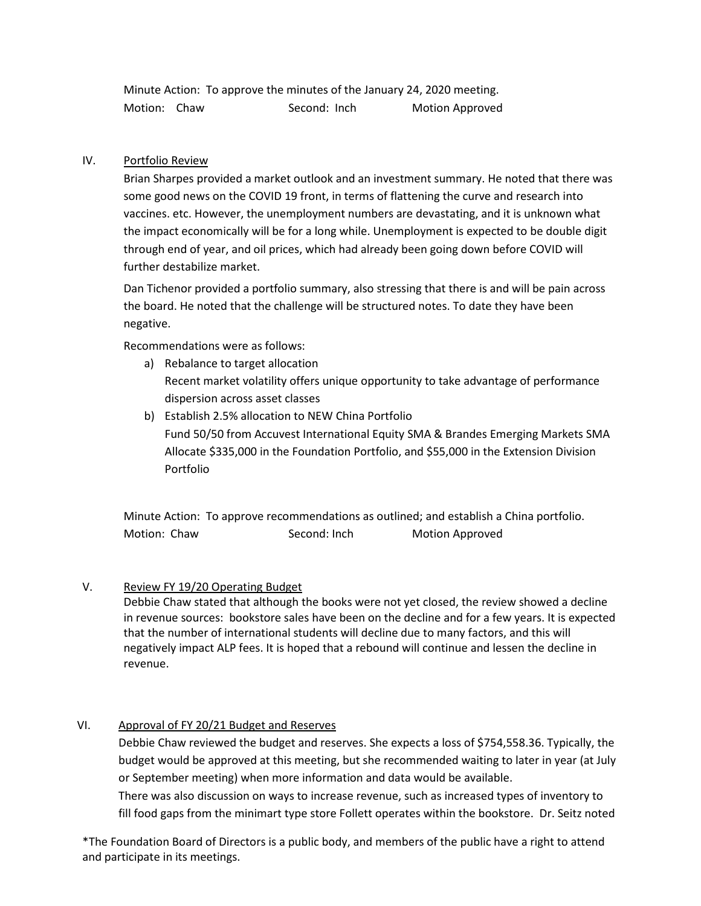Minute Action: To approve the minutes of the January 24, 2020 meeting. Motion: Chaw Second: Inch Motion Approved

# IV. Portfolio Review

Brian Sharpes provided a market outlook and an investment summary. He noted that there was some good news on the COVID 19 front, in terms of flattening the curve and research into vaccines. etc. However, the unemployment numbers are devastating, and it is unknown what the impact economically will be for a long while. Unemployment is expected to be double digit through end of year, and oil prices, which had already been going down before COVID will further destabilize market.

Dan Tichenor provided a portfolio summary, also stressing that there is and will be pain across the board. He noted that the challenge will be structured notes. To date they have been negative.

Recommendations were as follows:

- a) Rebalance to target allocation Recent market volatility offers unique opportunity to take advantage of performance dispersion across asset classes
- b) Establish 2.5% allocation to NEW China Portfolio Fund 50/50 from Accuvest International Equity SMA & Brandes Emerging Markets SMA Allocate \$335,000 in the Foundation Portfolio, and \$55,000 in the Extension Division Portfolio

Minute Action: To approve recommendations as outlined; and establish a China portfolio. Motion: Chaw Second: Inch Motion Approved

### V. Review FY 19/20 Operating Budget

Debbie Chaw stated that although the books were not yet closed, the review showed a decline in revenue sources: bookstore sales have been on the decline and for a few years. It is expected that the number of international students will decline due to many factors, and this will negatively impact ALP fees. It is hoped that a rebound will continue and lessen the decline in revenue.

# VI. Approval of FY 20/21 Budget and Reserves

Debbie Chaw reviewed the budget and reserves. She expects a loss of \$754,558.36. Typically, the budget would be approved at this meeting, but she recommended waiting to later in year (at July or September meeting) when more information and data would be available.

There was also discussion on ways to increase revenue, such as increased types of inventory to fill food gaps from the minimart type store Follett operates within the bookstore. Dr. Seitz noted

\*The Foundation Board of Directors is a public body, and members of the public have a right to attend and participate in its meetings.